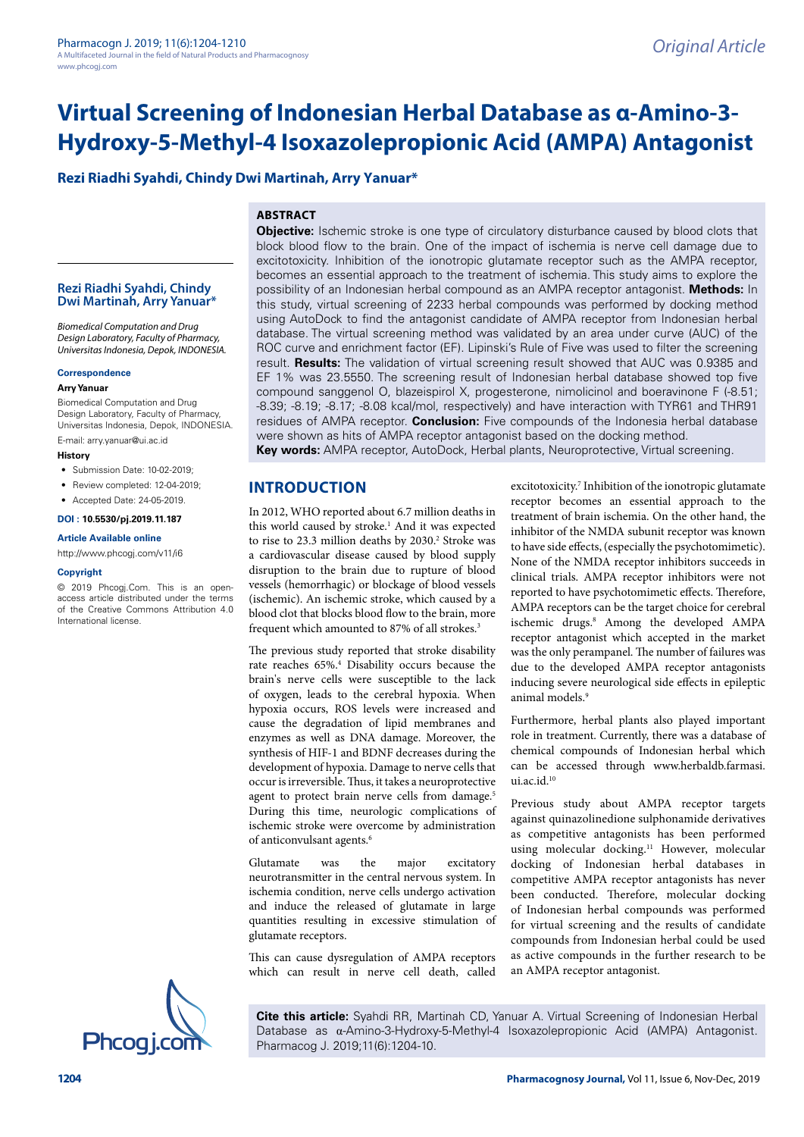# **Rezi Riadhi Syahdi, Chindy Dwi Martinah, Arry Yanuar\***

# **ABSTRACT**

### **Rezi Riadhi Syahdi, Chindy Dwi Martinah, Arry Yanuar\***

*Biomedical Computation and Drug Design Laboratory, Faculty of Pharmacy, Universitas Indonesia, Depok, INDONESIA.*

#### **Correspondence**

#### **Arry Yanuar**

Biomedical Computation and Drug Design Laboratory, Faculty of Pharmacy, Universitas Indonesia, Depok, INDONESIA. E-mail: arry.yanuar@ui.ac.id

#### **History**

- Submission Date: 10-02-2019;
- Review completed: 12-04-2019;
- Accepted Date: 24-05-2019.
- **DOI : 10.5530/pj.2019.11.187**

# **Article Available online**

<http://www.phcogj.com/v11/i6>

#### **Copyright**

© 2019 Phcogj.Com. This is an openaccess article distributed under the terms of the Creative Commons Attribution 4.0 International license.

**Objective:** Ischemic stroke is one type of circulatory disturbance caused by blood clots that block blood flow to the brain. One of the impact of ischemia is nerve cell damage due to excitotoxicity. Inhibition of the ionotropic glutamate receptor such as the AMPA receptor, becomes an essential approach to the treatment of ischemia. This study aims to explore the possibility of an Indonesian herbal compound as an AMPA receptor antagonist. **Methods:** In this study, virtual screening of 2233 herbal compounds was performed by docking method using AutoDock to find the antagonist candidate of AMPA receptor from Indonesian herbal database. The virtual screening method was validated by an area under curve (AUC) of the ROC curve and enrichment factor (EF). Lipinski's Rule of Five was used to filter the screening result. **Results:** The validation of virtual screening result showed that AUC was 0.9385 and EF 1% was 23.5550. The screening result of Indonesian herbal database showed top five compound sanggenol O, blazeispirol X, progesterone, nimolicinol and boeravinone F (-8.51; -8.39; -8.19; -8.17; -8.08 kcal/mol, respectively) and have interaction with TYR61 and THR91 residues of AMPA receptor. **Conclusion:** Five compounds of the Indonesia herbal database were shown as hits of AMPA receptor antagonist based on the docking method.

**Key words:** AMPA receptor, AutoDock, Herbal plants, Neuroprotective, Virtual screening.

# **INTRODUCTION**

In 2012, WHO reported about 6.7 million deaths in this world caused by stroke.<sup>1</sup> And it was expected to rise to 23.3 million deaths by 2030.<sup>2</sup> Stroke was a cardiovascular disease caused by blood supply disruption to the brain due to rupture of blood vessels (hemorrhagic) or blockage of blood vessels (ischemic). An ischemic stroke, which caused by a blood clot that blocks blood flow to the brain, more frequent which amounted to 87% of all strokes.<sup>3</sup>

The previous study reported that stroke disability rate reaches 65%.4 Disability occurs because the brain's nerve cells were susceptible to the lack of oxygen, leads to the cerebral hypoxia. When hypoxia occurs, ROS levels were increased and cause the degradation of lipid membranes and enzymes as well as DNA damage. Moreover, the synthesis of HIF-1 and BDNF decreases during the development of hypoxia. Damage to nerve cells that occur is irreversible. Thus, it takes a neuroprotective agent to protect brain nerve cells from damage.<sup>5</sup> During this time, neurologic complications of ischemic stroke were overcome by administration of anticonvulsant agents.<sup>6</sup>

Glutamate was the major excitatory neurotransmitter in the central nervous system. In ischemia condition, nerve cells undergo activation and induce the released of glutamate in large quantities resulting in excessive stimulation of glutamate receptors.

This can cause dysregulation of AMPA receptors which can result in nerve cell death, called

excitotoxicity.<sup>7</sup> Inhibition of the ionotropic glutamate receptor becomes an essential approach to the treatment of brain ischemia. On the other hand, the inhibitor of the NMDA subunit receptor was known to have side effects, (especially the psychotomimetic). None of the NMDA receptor inhibitors succeeds in clinical trials. AMPA receptor inhibitors were not reported to have psychotomimetic effects. Therefore, AMPA receptors can be the target choice for cerebral ischemic drugs.<sup>8</sup> Among the developed AMPA receptor antagonist which accepted in the market was the only perampanel. The number of failures was due to the developed AMPA receptor antagonists inducing severe neurological side effects in epileptic animal models.<sup>9</sup>

Furthermore, herbal plants also played important role in treatment. Currently, there was a database of chemical compounds of Indonesian herbal which can be accessed through www.herbaldb.farmasi. ui.ac.id.<sup>10</sup>

Previous study about AMPA receptor targets against quinazolinedione sulphonamide derivatives as competitive antagonists has been performed using molecular docking.11 However, molecular docking of Indonesian herbal databases in competitive AMPA receptor antagonists has never been conducted. Therefore, molecular docking of Indonesian herbal compounds was performed for virtual screening and the results of candidate compounds from Indonesian herbal could be used as active compounds in the further research to be an AMPA receptor antagonist.

**Cite this article:** Syahdi RR, Martinah CD, Yanuar A. Virtual Screening of Indonesian Herbal Database as α-Amino-3-Hydroxy-5-Methyl-4 Isoxazolepropionic Acid (AMPA) Antagonist.<br>Phcogi.com Pharmacog J. 2019;11(6):1204-10.

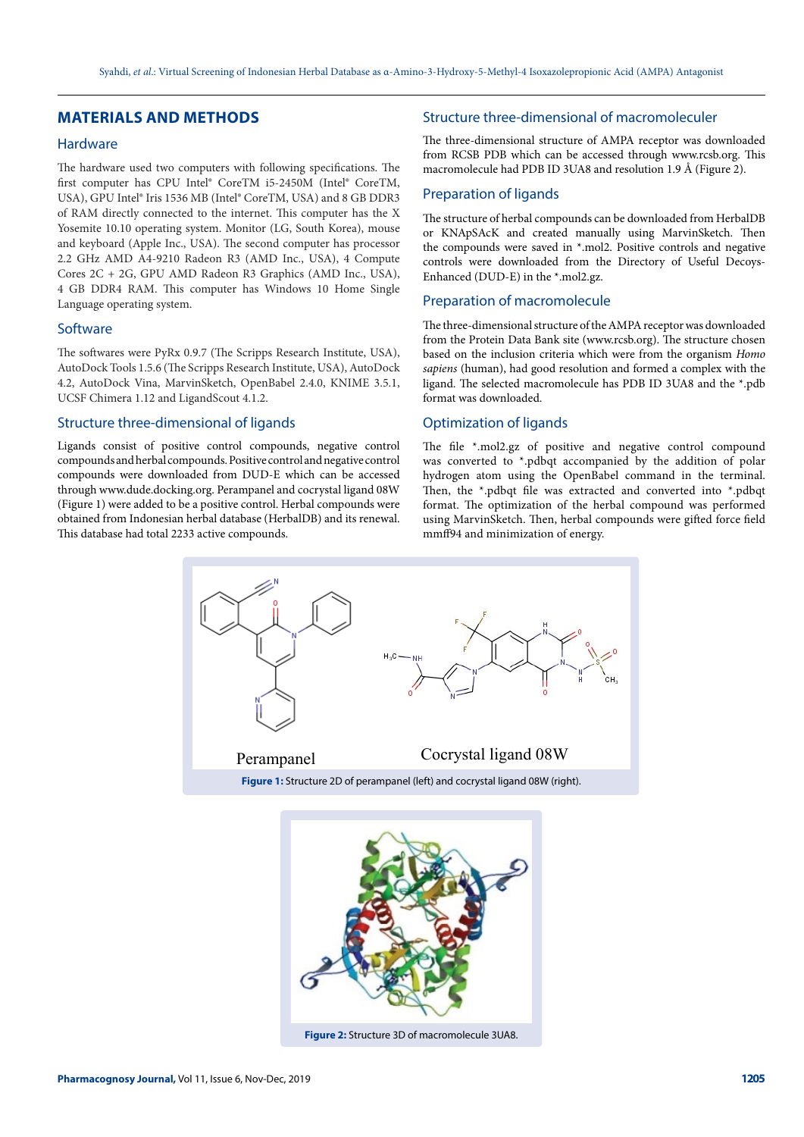# **MATERIALS AND METHODS**

# Hardware

The hardware used two computers with following specifications. The first computer has CPU Intel® CoreTM i5-2450M (Intel® CoreTM, USA), GPU Intel® Iris 1536 MB (Intel® CoreTM, USA) and 8 GB DDR3 of RAM directly connected to the internet. This computer has the X Yosemite 10.10 operating system. Monitor (LG, South Korea), mouse and keyboard (Apple Inc., USA). The second computer has processor 2.2 GHz AMD A4-9210 Radeon R3 (AMD Inc., USA), 4 Compute Cores 2C + 2G, GPU AMD Radeon R3 Graphics (AMD Inc., USA), 4 GB DDR4 RAM. This computer has Windows 10 Home Single Language operating system.

## **Software**

The softwares were PyRx 0.9.7 (The Scripps Research Institute, USA), AutoDock Tools 1.5.6 (The Scripps Research Institute, USA), AutoDock 4.2, AutoDock Vina, MarvinSketch, OpenBabel 2.4.0, KNIME 3.5.1, UCSF Chimera 1.12 and LigandScout 4.1.2.

## Structure three-dimensional of ligands

Ligands consist of positive control compounds, negative control compounds and herbal compounds. Positive control and negative control compounds were downloaded from DUD-E which can be accessed through www.dude.docking.org. Perampanel and cocrystal ligand 08W (Figure 1) were added to be a positive control. Herbal compounds were obtained from Indonesian herbal database (HerbalDB) and its renewal. This database had total 2233 active compounds.

## Structure three-dimensional of macromoleculer

The three-dimensional structure of AMPA receptor was downloaded from RCSB PDB which can be accessed through www.rcsb.org. This macromolecule had PDB ID 3UA8 and resolution 1.9 Å (Figure 2).

# Preparation of ligands

The structure of herbal compounds can be downloaded from HerbalDB or KNApSAcK and created manually using MarvinSketch. Then the compounds were saved in \*.mol2. Positive controls and negative controls were downloaded from the Directory of Useful Decoys-Enhanced (DUD-E) in the \*.mol2.gz.

## Preparation of macromolecule

The three-dimensional structure of the AMPA receptor was downloaded from the Protein Data Bank site (www.rcsb.org). The structure chosen based on the inclusion criteria which were from the organism *Homo sapiens* (human), had good resolution and formed a complex with the ligand. The selected macromolecule has PDB ID 3UA8 and the \*.pdb format was downloaded.

## Optimization of ligands

The file \*.mol2.gz of positive and negative control compound was converted to \*.pdbqt accompanied by the addition of polar hydrogen atom using the OpenBabel command in the terminal. Then, the \*.pdbqt file was extracted and converted into \*.pdbqt format. The optimization of the herbal compound was performed using MarvinSketch. Then, herbal compounds were gifted force field mmff94 and minimization of energy.



**Figure 2:** Structure 3D of macromolecule 3UA8.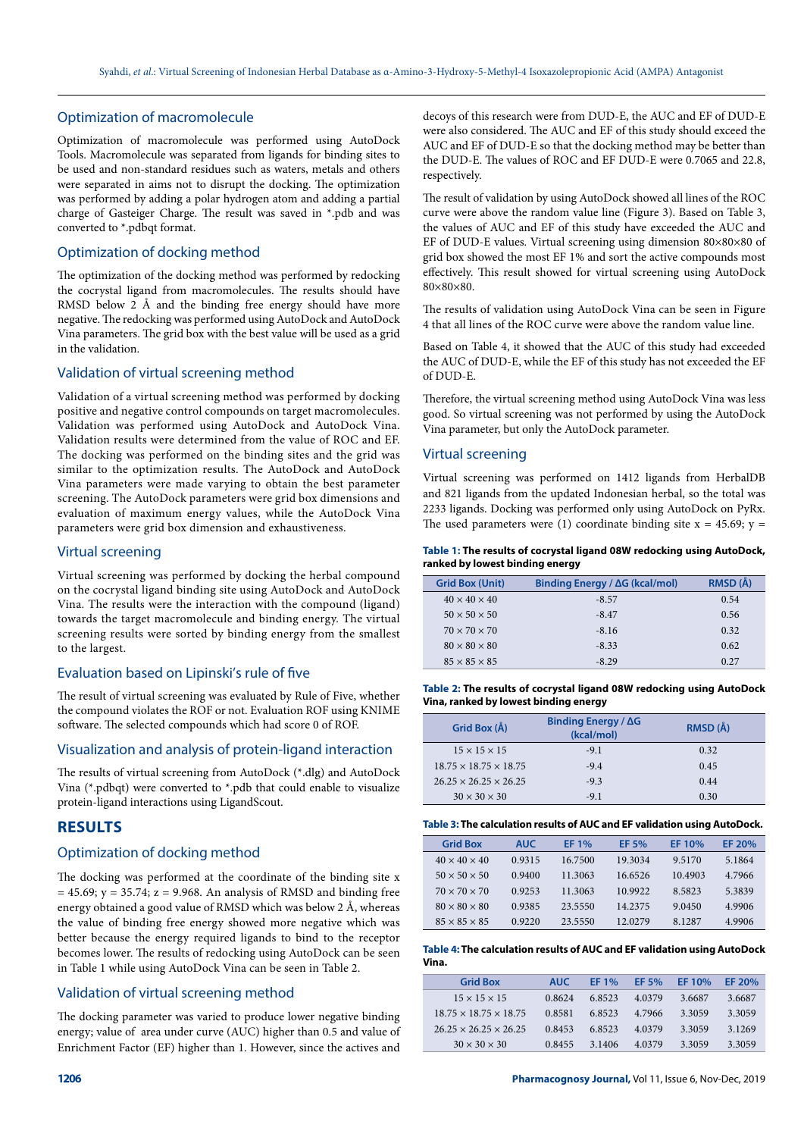## Optimization of macromolecule

Optimization of macromolecule was performed using AutoDock Tools. Macromolecule was separated from ligands for binding sites to be used and non-standard residues such as waters, metals and others were separated in aims not to disrupt the docking. The optimization was performed by adding a polar hydrogen atom and adding a partial charge of Gasteiger Charge. The result was saved in \*.pdb and was converted to \*.pdbqt format.

#### Optimization of docking method

The optimization of the docking method was performed by redocking the cocrystal ligand from macromolecules. The results should have RMSD below 2 Å and the binding free energy should have more negative. The redocking was performed using AutoDock and AutoDock Vina parameters. The grid box with the best value will be used as a grid in the validation.

### Validation of virtual screening method

Validation of a virtual screening method was performed by docking positive and negative control compounds on target macromolecules. Validation was performed using AutoDock and AutoDock Vina. Validation results were determined from the value of ROC and EF. The docking was performed on the binding sites and the grid was similar to the optimization results. The AutoDock and AutoDock Vina parameters were made varying to obtain the best parameter screening. The AutoDock parameters were grid box dimensions and evaluation of maximum energy values, while the AutoDock Vina parameters were grid box dimension and exhaustiveness.

#### Virtual screening

Virtual screening was performed by docking the herbal compound on the cocrystal ligand binding site using AutoDock and AutoDock Vina. The results were the interaction with the compound (ligand) towards the target macromolecule and binding energy. The virtual screening results were sorted by binding energy from the smallest to the largest.

### Evaluation based on Lipinski's rule of five

The result of virtual screening was evaluated by Rule of Five, whether the compound violates the ROF or not. Evaluation ROF using KNIME software. The selected compounds which had score 0 of ROF.

### Visualization and analysis of protein-ligand interaction

The results of virtual screening from AutoDock (\*.dlg) and AutoDock Vina (\*.pdbqt) were converted to \*.pdb that could enable to visualize protein-ligand interactions using LigandScout.

# **RESULTS**

## Optimization of docking method

The docking was performed at the coordinate of the binding site x  $= 45.69$ ;  $y = 35.74$ ;  $z = 9.968$ . An analysis of RMSD and binding free energy obtained a good value of RMSD which was below 2 Å, whereas the value of binding free energy showed more negative which was better because the energy required ligands to bind to the receptor becomes lower. The results of redocking using AutoDock can be seen in Table 1 while using AutoDock Vina can be seen in Table 2.

### Validation of virtual screening method

The docking parameter was varied to produce lower negative binding energy; value of area under curve (AUC) higher than 0.5 and value of Enrichment Factor (EF) higher than 1. However, since the actives and

decoys of this research were from DUD-E, the AUC and EF of DUD-E were also considered. The AUC and EF of this study should exceed the AUC and EF of DUD-E so that the docking method may be better than the DUD-E. The values of ROC and EF DUD-E were 0.7065 and 22.8, respectively.

The result of validation by using AutoDock showed all lines of the ROC curve were above the random value line (Figure 3). Based on Table 3, the values of AUC and EF of this study have exceeded the AUC and EF of DUD-E values. Virtual screening using dimension 80×80×80 of grid box showed the most EF 1% and sort the active compounds most effectively. This result showed for virtual screening using AutoDock 80×80×80.

The results of validation using AutoDock Vina can be seen in Figure 4 that all lines of the ROC curve were above the random value line.

Based on Table 4, it showed that the AUC of this study had exceeded the AUC of DUD-E, while the EF of this study has not exceeded the EF of DUD-E.

Therefore, the virtual screening method using AutoDock Vina was less good. So virtual screening was not performed by using the AutoDock Vina parameter, but only the AutoDock parameter.

### Virtual screening

Virtual screening was performed on 1412 ligands from HerbalDB and 821 ligands from the updated Indonesian herbal, so the total was 2233 ligands. Docking was performed only using AutoDock on PyRx. The used parameters were (1) coordinate binding site  $x = 45.69$ ;  $y =$ 

#### **Table 1: The results of cocrystal ligand 08W redocking using AutoDock, ranked by lowest binding energy**

| <b>Grid Box (Unit)</b>   | Binding Energy / ΔG (kcal/mol) | RMSD (Å) |
|--------------------------|--------------------------------|----------|
| $40 \times 40 \times 40$ | $-8.57$                        | 0.54     |
| $50 \times 50 \times 50$ | $-8.47$                        | 0.56     |
| $70 \times 70 \times 70$ | $-8.16$                        | 0.32     |
| $80 \times 80 \times 80$ | $-8.33$                        | 0.62     |
| $85 \times 85 \times 85$ | $-8.29$                        | 0.27     |

**Table 2: The results of cocrystal ligand 08W redocking using AutoDock Vina, ranked by lowest binding energy**

| Grid Box (Å)                      | Binding Energy / $\Delta G$<br>(kcal/mol) | RMSD (Å) |
|-----------------------------------|-------------------------------------------|----------|
| $15 \times 15 \times 15$          | $-9.1$                                    | 0.32     |
| $18.75 \times 18.75 \times 18.75$ | $-9.4$                                    | 0.45     |
| $26.25 \times 26.25 \times 26.25$ | $-9.3$                                    | 0.44     |
| $30 \times 30 \times 30$          | $-9.1$                                    | 0.30     |

### **Table 3: The calculation results of AUC and EF validation using AutoDock.**

| <b>Grid Box</b>          | <b>AUC</b> | EF 1%   | EF 5%    | EF 10%  | EF 20% |
|--------------------------|------------|---------|----------|---------|--------|
| $40 \times 40 \times 40$ | 0.9315     | 16.7500 | 19.3034  | 9.5170  | 5.1864 |
| $50 \times 50 \times 50$ | 0.9400     | 11.3063 | 16.6526  | 10.4903 | 4.7966 |
| $70 \times 70 \times 70$ | 0.9253     | 11.3063 | 10.9922  | 8.5823  | 5.3839 |
| $80 \times 80 \times 80$ | 0.9385     | 23.5550 | 14.2375  | 9.0450  | 4.9906 |
| $85 \times 85 \times 85$ | 0.9220     | 23.5550 | 12.02.79 | 8.1287  | 4.9906 |

#### **Table 4: The calculation results of AUC and EF validation using AutoDock Vina.**

| <b>Grid Box</b>                   | <b>AUC</b> | EF 1%  | EF 5%  | EF 10% | EF 20% |
|-----------------------------------|------------|--------|--------|--------|--------|
| $15 \times 15 \times 15$          | 0.8624     | 6.8523 | 4.0379 | 3.6687 | 3.6687 |
| $18.75 \times 18.75 \times 18.75$ | 0.8581     | 6.8523 | 4.7966 | 3.3059 | 3.3059 |
| $26.25 \times 26.25 \times 26.25$ | 0.8453     | 6.8523 | 4.0379 | 3.3059 | 3.1269 |
| $30 \times 30 \times 30$          | 0.8455     | 3.1406 | 4.0379 | 3.3059 | 3.3059 |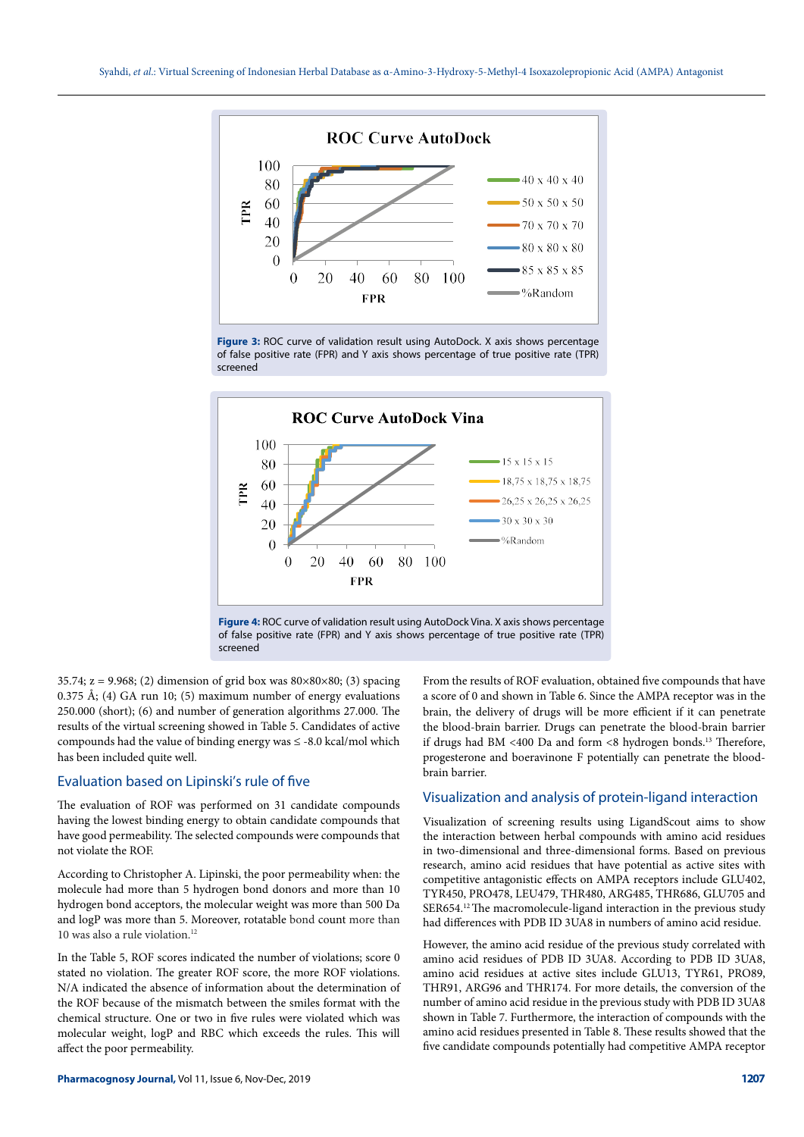

**Figure 3:** ROC curve of validation result using AutoDock. X axis shows percentage of false positive rate (FPR) and Y axis shows percentage of true positive rate (TPR) screened



**Figure 4:** ROC curve of validation result using AutoDock Vina. X axis shows percentage of false positive rate (FPR) and Y axis shows percentage of true positive rate (TPR) screened

35.74;  $z = 9.968$ ; (2) dimension of grid box was  $80 \times 80 \times 80$ ; (3) spacing 0.375 Å; (4) GA run 10; (5) maximum number of energy evaluations 250.000 (short); (6) and number of generation algorithms 27.000. The results of the virtual screening showed in Table 5. Candidates of active compounds had the value of binding energy was ≤ -8.0 kcal/mol which has been included quite well.

## Evaluation based on Lipinski's rule of five

The evaluation of ROF was performed on 31 candidate compounds having the lowest binding energy to obtain candidate compounds that have good permeability. The selected compounds were compounds that not violate the ROF.

According to Christopher A. Lipinski, the poor permeability when: the molecule had more than 5 hydrogen bond donors and more than 10 hydrogen bond acceptors, the molecular weight was more than 500 Da and logP was more than 5. Moreover, rotatable bond count more than 10 was also a rule violation.<sup>12</sup>

In the Table 5, ROF scores indicated the number of violations; score 0 stated no violation. The greater ROF score, the more ROF violations. N/A indicated the absence of information about the determination of the ROF because of the mismatch between the smiles format with the chemical structure. One or two in five rules were violated which was molecular weight, logP and RBC which exceeds the rules. This will affect the poor permeability.

From the results of ROF evaluation, obtained five compounds that have a score of 0 and shown in Table 6. Since the AMPA receptor was in the brain, the delivery of drugs will be more efficient if it can penetrate the blood-brain barrier. Drugs can penetrate the blood-brain barrier if drugs had BM <400 Da and form <8 hydrogen bonds.<sup>13</sup> Therefore, progesterone and boeravinone F potentially can penetrate the bloodbrain barrier.

# Visualization and analysis of protein-ligand interaction

Visualization of screening results using LigandScout aims to show the interaction between herbal compounds with amino acid residues in two-dimensional and three-dimensional forms. Based on previous research, amino acid residues that have potential as active sites with competitive antagonistic effects on AMPA receptors include GLU402, TYR450, PRO478, LEU479, THR480, ARG485, THR686, GLU705 and SER654.12 The macromolecule-ligand interaction in the previous study had differences with PDB ID 3UA8 in numbers of amino acid residue.

However, the amino acid residue of the previous study correlated with amino acid residues of PDB ID 3UA8. According to PDB ID 3UA8, amino acid residues at active sites include GLU13, TYR61, PRO89, THR91, ARG96 and THR174. For more details, the conversion of the number of amino acid residue in the previous study with PDB ID 3UA8 shown in Table 7. Furthermore, the interaction of compounds with the amino acid residues presented in Table 8. These results showed that the five candidate compounds potentially had competitive AMPA receptor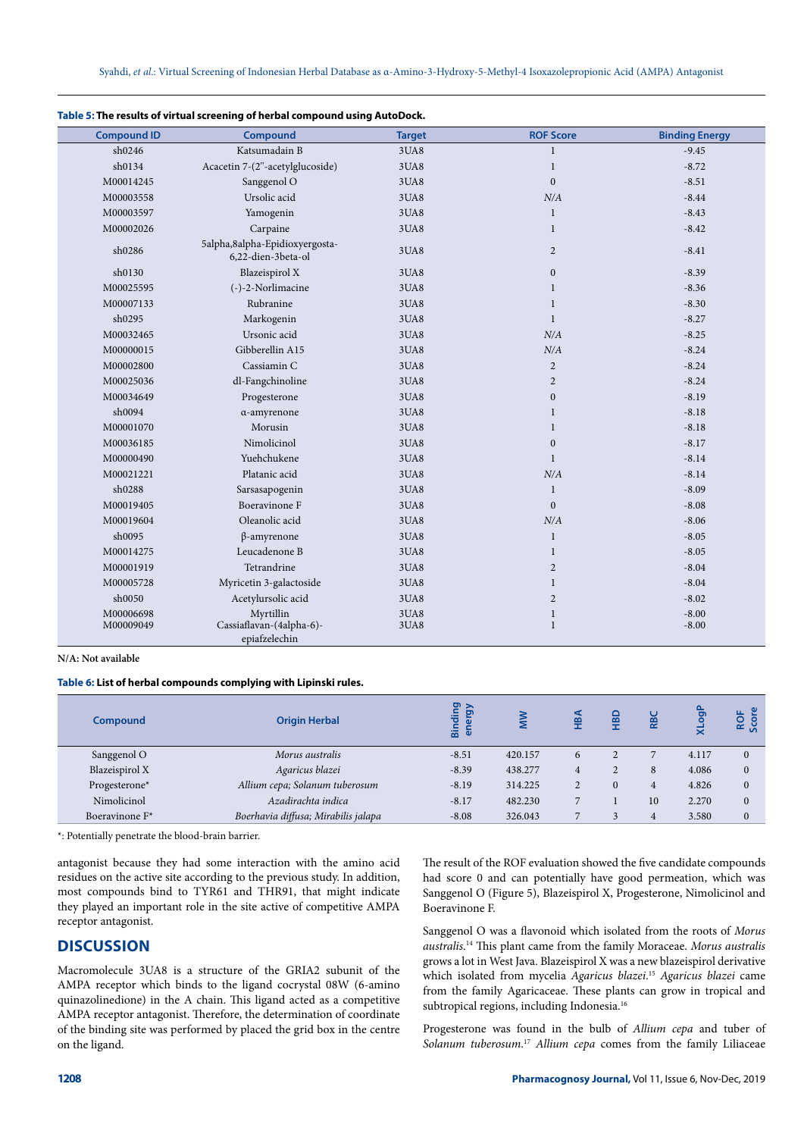| <b>Compound ID</b>     | Compound                                               | <b>Target</b> | <b>ROF Score</b>             | <b>Binding Energy</b> |
|------------------------|--------------------------------------------------------|---------------|------------------------------|-----------------------|
| sh0246                 | Katsumadain B                                          | 3UA8          | $\mathbf{1}$                 | $-9.45$               |
| sh0134                 | Acacetin 7-(2"-acetylglucoside)                        | 3UA8          | $\mathbf{1}$                 | $-8.72$               |
| M00014245              | Sanggenol O                                            | 3UA8          | $\overline{0}$               | $-8.51$               |
| M00003558              | Ursolic acid                                           | 3UA8          | N/A                          | $-8.44$               |
| M00003597              | Yamogenin                                              | 3UA8          | $\mathbf{1}$                 | $-8.43$               |
| M00002026              | Carpaine                                               | 3UA8          | $\mathbf{1}$                 | $-8.42$               |
| sh0286                 | 5alpha,8alpha-Epidioxyergosta-<br>6,22-dien-3beta-ol   | 3UA8          | $\overline{2}$               | $-8.41$               |
| sh0130                 | Blazeispirol X                                         | 3UA8          | $\boldsymbol{0}$             | $-8.39$               |
| M00025595              | (-)-2-Norlimacine                                      | 3UA8          | $\mathbf{1}$                 | $-8.36$               |
| M00007133              | Rubranine                                              | 3UA8          | $\mathbf{1}$                 | $-8.30$               |
| sh0295                 | Markogenin                                             | 3UA8          | $\mathbf{1}$                 | $-8.27$               |
| M00032465              | Ursonic acid                                           | 3UA8          | N/A                          | $-8.25$               |
| M00000015              | Gibberellin A15                                        | 3UA8          | N/A                          | $-8.24$               |
| M00002800              | Cassiamin C                                            | 3UA8          | $\overline{2}$               | $-8.24$               |
| M00025036              | dl-Fangchinoline                                       | 3UA8          | $\overline{2}$               | $-8.24$               |
| M00034649              | Progesterone                                           | 3UA8          | $\boldsymbol{0}$             | $-8.19$               |
| sh0094                 | α-amyrenone                                            | 3UA8          | $\mathbf{1}$                 | $-8.18$               |
| M00001070              | Morusin                                                | 3UA8          | $\mathbf{1}$                 | $-8.18$               |
| M00036185              | Nimolicinol                                            | 3UA8          | $\boldsymbol{0}$             | $-8.17$               |
| M00000490              | Yuehchukene                                            | 3UA8          | $\mathbf{1}$                 | $-8.14$               |
| M00021221              | Platanic acid                                          | 3UA8          | N/A                          | $-8.14$               |
| sh0288                 | Sarsasapogenin                                         | 3UA8          | 1                            | $-8.09$               |
| M00019405              | Boeravinone F                                          | 3UA8          | $\mathbf{0}$                 | $-8.08$               |
| M00019604              | Oleanolic acid                                         | 3UA8          | N/A                          | $-8.06$               |
| sh0095                 | $\beta$ -amyrenone                                     | 3UA8          | $\mathbf{1}$                 | $-8.05$               |
| M00014275              | Leucadenone B                                          | 3UA8          | $\mathbf{1}$                 | $-8.05$               |
| M00001919              | Tetrandrine                                            | 3UA8          | $\overline{2}$               | $-8.04$               |
| M00005728              | Myricetin 3-galactoside                                | 3UA8          | $\mathbf{1}$                 | $-8.04$               |
| sh0050                 | Acetylursolic acid                                     | 3UA8          | $\overline{2}$               | $-8.02$               |
| M00006698<br>M00009049 | Myrtillin<br>Cassiaflavan-(4alpha-6)-<br>epiafzelechin | 3UA8<br>3UA8  | $\mathbf{1}$<br>$\mathbf{1}$ | $-8.00$<br>$-8.00$    |

#### **Table 5: The results of virtual screening of herbal compound using AutoDock.**

**N/A: Not available**

#### **Table 6: List of herbal compounds complying with Lipinski rules.**

| <b>Compound</b>            | <b>Origin Herbal</b>                | <b>Pa</b><br>><br>ā<br>ㅎ<br>ä<br>$\overline{a}$ |         |   | <u>ទ</u> | æ  | ಠಾ    | ROF<br><b>Sco</b> |
|----------------------------|-------------------------------------|-------------------------------------------------|---------|---|----------|----|-------|-------------------|
| Sanggenol O                | Morus australis                     | $-8.51$                                         | 420.157 | 6 |          |    | 4.117 |                   |
| Blazeispirol X             | Agaricus blazei                     | $-8.39$                                         | 438.277 | 4 |          | 8  | 4.086 |                   |
| Progesterone*              | Allium cepa; Solanum tuberosum      | $-8.19$                                         | 314.225 |   |          | 4  | 4.826 |                   |
| Nimolicinol                | Azadirachta indica                  | $-8.17$                                         | 482.230 |   |          | 10 | 2.270 |                   |
| Boeravinone F <sup>*</sup> | Boerhavia diffusa; Mirabilis jalapa | $-8.08$                                         | 326.043 |   |          | 4  | 3.580 |                   |

\*: Potentially penetrate the blood-brain barrier.

antagonist because they had some interaction with the amino acid residues on the active site according to the previous study. In addition, most compounds bind to TYR61 and THR91, that might indicate they played an important role in the site active of competitive AMPA receptor antagonist.

## **DISCUSSION**

Macromolecule 3UA8 is a structure of the GRIA2 subunit of the AMPA receptor which binds to the ligand cocrystal 08W (6-amino quinazolinedione) in the A chain. This ligand acted as a competitive AMPA receptor antagonist. Therefore, the determination of coordinate of the binding site was performed by placed the grid box in the centre on the ligand.

The result of the ROF evaluation showed the five candidate compounds had score 0 and can potentially have good permeation, which was Sanggenol O (Figure 5), Blazeispirol X, Progesterone, Nimolicinol and Boeravinone F.

Sanggenol O was a flavonoid which isolated from the roots of *Morus australis*. 14 This plant came from the family Moraceae. *Morus australis* grows a lot in West Java. Blazeispirol X was a new blazeispirol derivative which isolated from mycelia *Agaricus blazei*. <sup>15</sup> *Agaricus blazei* came from the family Agaricaceae. These plants can grow in tropical and subtropical regions, including Indonesia.<sup>16</sup>

Progesterone was found in the bulb of *Allium cepa* and tuber of *Solanum tuberosum*. <sup>17</sup> *Allium cepa* comes from the family Liliaceae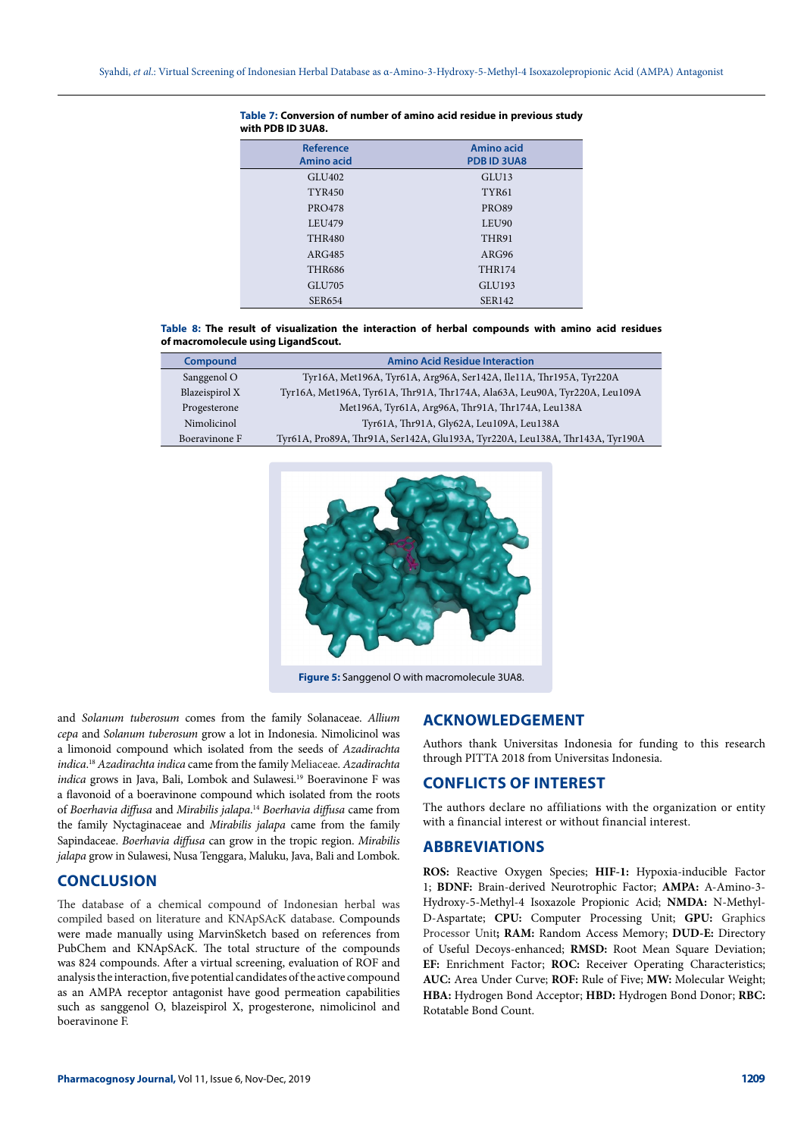| <b>Reference</b><br>Amino acid | Amino acid<br>PDB ID 3UA8 |
|--------------------------------|---------------------------|
| GLU <sub>402</sub>             | GLU <sub>13</sub>         |
| <b>TYR450</b>                  | TYR61                     |
| <b>PRO478</b>                  | <b>PRO89</b>              |
| LEU479                         | LEU90                     |
| <b>THR480</b>                  | THR91                     |
| ARG485                         | ARG96                     |
| <b>THR686</b>                  | <b>THR174</b>             |
| GLU705                         | GLU193                    |
| <b>SER654</b>                  | <b>SER142</b>             |

#### **Table 7: Conversion of number of amino acid residue in previous study with PDB ID 3UA8.**

**Table 8: The result of visualization the interaction of herbal compounds with amino acid residues of macromolecule using LigandScout.**

| <b>Compound</b> | <b>Amino Acid Residue Interaction</b>                                        |
|-----------------|------------------------------------------------------------------------------|
| Sanggenol O     | Tyr16A, Met196A, Tyr61A, Arg96A, Ser142A, Ile11A, Thr195A, Tyr220A           |
| Blazeispirol X  | Tyr16A, Met196A, Tyr61A, Thr91A, Thr174A, Ala63A, Leu90A, Tyr220A, Leu109A   |
| Progesterone    | Met196A, Tyr61A, Arg96A, Thr91A, Thr174A, Leu138A                            |
| Nimolicinol     | Tyr61A, Thr91A, Gly62A, Leu109A, Leu138A                                     |
| Boeravinone F   | Tyr61A, Pro89A, Thr91A, Ser142A, Glu193A, Tyr220A, Leu138A, Thr143A, Tyr190A |



**Figure 5:** Sanggenol O with macromolecule 3UA8.

and *Solanum tuberosum* comes from the family Solanaceae. *Allium cepa* and *Solanum tuberosum* grow a lot in Indonesia. Nimolicinol was a limonoid compound which isolated from the seeds of *Azadirachta indica*. <sup>18</sup> *Azadirachta indica* came from the family Meliaceae*. Azadirachta indica* grows in Java, Bali, Lombok and Sulawesi.<sup>19</sup> Boeravinone F was a flavonoid of a boeravinone compound which isolated from the roots of *Boerhavia diffusa* and *Mirabilis jalapa*. <sup>14</sup> *Boerhavia diffusa* came from the family Nyctaginaceae and *Mirabilis jalapa* came from the family Sapindaceae. *Boerhavia diffusa* can grow in the tropic region. *Mirabilis jalapa* grow in Sulawesi, Nusa Tenggara, Maluku, Java, Bali and Lombok.

# **CONCLUSION**

The database of a chemical compound of Indonesian herbal was compiled based on literature and KNApSAcK database. Compounds were made manually using MarvinSketch based on references from PubChem and KNApSAcK. The total structure of the compounds was 824 compounds. After a virtual screening, evaluation of ROF and analysis the interaction, five potential candidates of the active compound as an AMPA receptor antagonist have good permeation capabilities such as sanggenol O, blazeispirol X, progesterone, nimolicinol and boeravinone F.

# **ACKNOWLEDGEMENT**

Authors thank Universitas Indonesia for funding to this research through PITTA 2018 from Universitas Indonesia.

# **CONFLICTS OF INTEREST**

The authors declare no affiliations with the organization or entity with a financial interest or without financial interest.

## **ABBREVIATIONS**

**ROS:** Reactive Oxygen Species; **HIF-1:** Hypoxia-inducible Factor 1; **BDNF:** Brain-derived Neurotrophic Factor; **AMPA:** Α-Amino-3- Hydroxy-5-Methyl-4 Isoxazole Propionic Acid; **NMDA:** N-Methyl-D-Aspartate; **CPU:** Computer Processing Unit; **GPU:** Graphics Processor Unit**; RAM:** Random Access Memory; **DUD-E:** Directory of Useful Decoys-enhanced; **RMSD:** Root Mean Square Deviation; **EF:** Enrichment Factor; **ROC:** Receiver Operating Characteristics; **AUC:** Area Under Curve; **ROF:** Rule of Five; **MW:** Molecular Weight; **HBA:** Hydrogen Bond Acceptor; **HBD:** Hydrogen Bond Donor; **RBC:** Rotatable Bond Count.